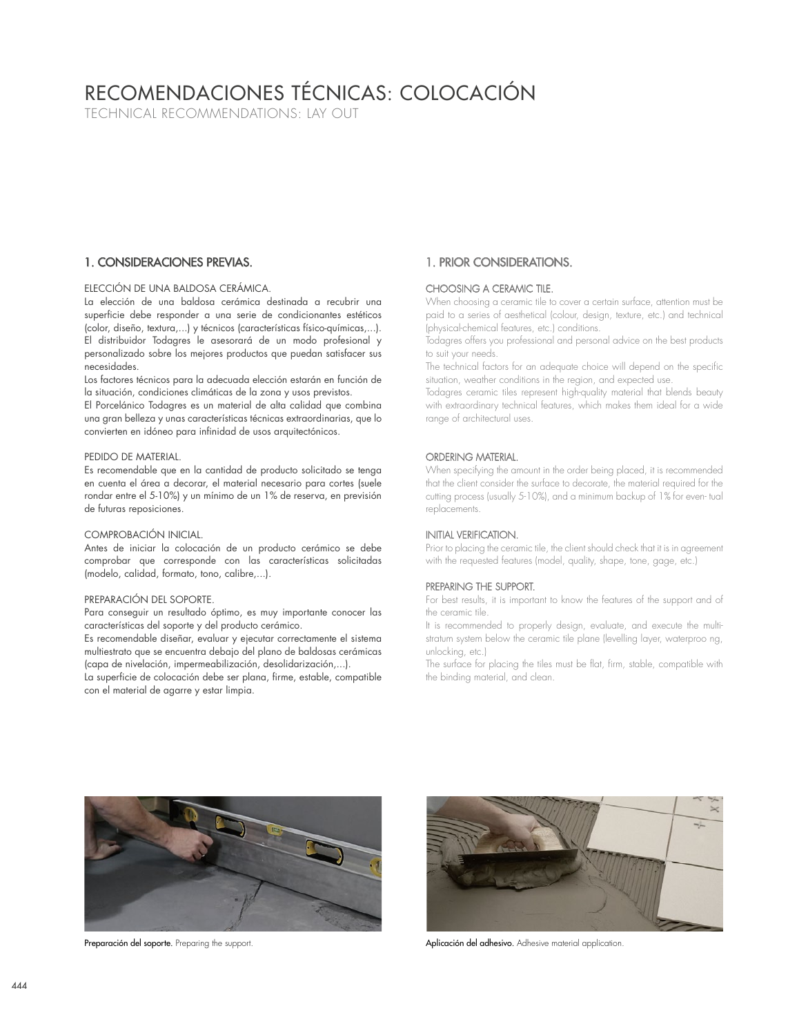# RECOMENDACIONES TÉCNICAS: COLOCACIÓN

TECHNICAL RECOMMENDATIONS: LAY OUT

# 1. CONSIDERACIONES PREVIAS.

## ELECCIÓN DE UNA BALDOSA CERÁMICA.

La elección de una baldosa cerámica destinada a recubrir una superficie debe responder a una serie de condicionantes estéticos (color, diseño, textura,...) y técnicos (características físico-químicas,...). El distribuidor Todagres le asesorará de un modo profesional y personalizado sobre los mejores productos que puedan satisfacer sus necesidades.

Los factores técnicos para la adecuada elección estarán en función de la situación, condiciones climáticas de la zona y usos previstos.

El Porcelánico Todagres es un material de alta calidad que combina una gran belleza y unas características técnicas extraordinarias, que lo convierten en idóneo para infinidad de usos arquitectónicos.

### PEDIDO DE MATERIAL.

Es recomendable que en la cantidad de producto solicitado se tenga en cuenta el área a decorar, el material necesario para cortes (suele rondar entre el 5-10%) y un mínimo de un 1% de reserva, en previsión de futuras reposiciones.

#### COMPROBACIÓN INICIAL.

Antes de iniciar la colocación de un producto cerámico se debe comprobar que corresponde con las características solicitadas (modelo, calidad, formato, tono, calibre,...).

### PREPARACIÓN DEL SOPORTE.

Para conseguir un resultado óptimo, es muy importante conocer las características del soporte y del producto cerámico.

Es recomendable diseñar, evaluar y ejecutar correctamente el sistema multiestrato que se encuentra debajo del plano de baldosas cerámicas (capa de nivelación, impermeabilización, desolidarización,...).

La superficie de colocación debe ser plana, firme, estable, compatible con el material de agarre y estar limpia.

# 1. PRIOR CONSIDERATIONS.

## CHOOSING A CERAMIC TILE.

When choosing a ceramic tile to cover a certain surface, attention must be paid to a series of aesthetical (colour, design, texture, etc.) and technical (physical-chemical features, etc.) conditions.

Todagres offers you professional and personal advice on the best products to suit your needs.

The technical factors for an adequate choice will depend on the specific situation, weather conditions in the region, and expected use.

Todagres ceramic tiles represent high-quality material that blends beauty with extraordinary technical features, which makes them ideal for a wide range of architectural uses.

## ORDERING MATERIAL.

When specifying the amount in the order being placed, it is recommended that the client consider the surface to decorate, the material required for the cutting process (usually 5-10%), and a minimum backup of 1% for even- tual replacements.

## INITIAL VERIFICATION.

Prior to placing the ceramic tile, the client should check that it is in agreement with the requested features (model, quality, shape, tone, gage, etc.)

## PREPARING THE SUPPORT.

For best results, it is important to know the features of the support and of the ceramic tile.

It is recommended to properly design, evaluate, and execute the multistratum system below the ceramic tile plane (levelling layer, waterproo ng, unlocking, etc.)

The surface for placing the tiles must be flat, firm, stable, compatible with the binding material, and clean.





Preparación del soporte. Preparing the support. Application del adhesivo. Adhesive material application.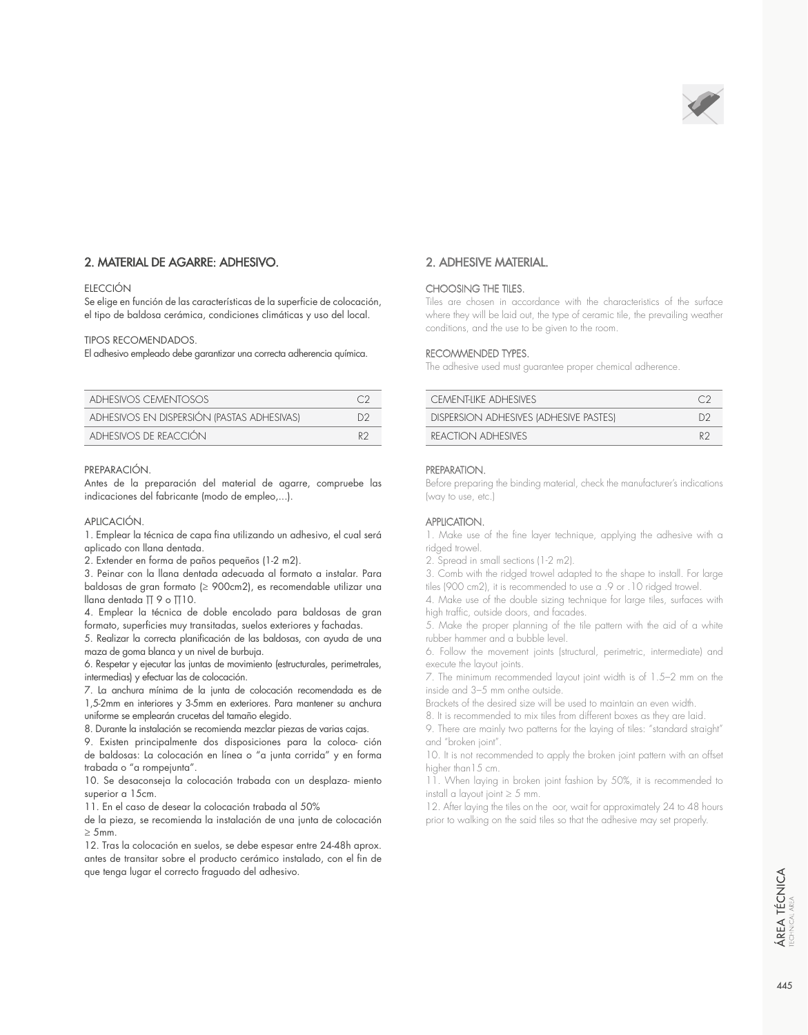

# 2. MATERIAL DE AGARRE: ADHESIVO.

## **ELECCIÓN**

Se elige en función de las características de la superficie de colocación, el tipo de baldosa cerámica, condiciones climáticas y uso del local.

#### TIPOS RECOMENDADOS.

El adhesivo empleado debe garantizar una correcta adherencia química.

| ADHESIVOS CEMENTOSOS                       |     |
|--------------------------------------------|-----|
| ADHESIVOS EN DISPERSIÓN (PASTAS ADHESIVAS) | 122 |
| ADHESIVOS DE REACCIÓN                      | R2  |

#### PREPARACIÓN.

Antes de la preparación del material de agarre, compruebe las indicaciones del fabricante (modo de empleo,...).

## APLICACIÓN.

1. Emplear la técnica de capa fina utilizando un adhesivo, el cual será aplicado con llana dentada.

2. Extender en forma de paños pequeños (1-2 m2).

3. Peinar con la llana dentada adecuada al formato a instalar. Para baldosas de gran formato (≥ 900cm2), es recomendable utilizar una llana dentada Π 9 o Π10.

4. Emplear la técnica de doble encolado para baldosas de gran formato, superficies muy transitadas, suelos exteriores y fachadas.

5. Realizar la correcta planificación de las baldosas, con ayuda de una maza de goma blanca y un nivel de burbuja.

6. Respetar y ejecutar las juntas de movimiento (estructurales, perimetrales, intermedias) y efectuar las de colocación.

7. La anchura mínima de la junta de colocación recomendada es de 1,5-2mm en interiores y 3-5mm en exteriores. Para mantener su anchura uniforme se emplearán crucetas del tamaño elegido.

8. Durante la instalación se recomienda mezclar piezas de varias cajas.

9. Existen principalmente dos disposiciones para la coloca- ción de baldosas: La colocación en línea o "a junta corrida" y en forma trabada o "a rompejunta".

10. Se desaconseja la colocación trabada con un desplaza- miento superior a 15cm.

11. En el caso de desear la colocación trabada al 50%

de la pieza, se recomienda la instalación de una junta de colocación  $\geq 5$ mm.

12. Tras la colocación en suelos, se debe espesar entre 24-48h aprox. antes de transitar sobre el producto cerámico instalado, con el fin de que tenga lugar el correcto fraguado del adhesivo.

## 2. ADHESIVE MATERIAL.

### CHOOSING THE TILES.

Tiles are chosen in accordance with the characteristics of the surface where they will be laid out, the type of ceramic tile, the prevailing weather conditions, and the use to be given to the room.

## RECOMMENDED TYPES.

The adhesive used must guarantee proper chemical adherence.

| CEMENTIJKE ADHESIVES                   |    |
|----------------------------------------|----|
| DISPERSION ADHESIVES (ADHESIVE PASTES) | D2 |
| REACTION ADHESIVES                     | やつ |

### PREPARATION.

Before preparing the binding material, check the manufacturer's indications (way to use, etc.)

## APPLICATION.

1. Make use of the fine layer technique, applying the adhesive with a ridged trowel.

2. Spread in small sections (1-2 m2).

3. Comb with the ridged trowel adapted to the shape to install. For large tiles (900 cm2), it is recommended to use a .9 or .10 ridged trowel.

4. Make use of the double sizing technique for large tiles, surfaces with high traffic, outside doors, and facades.

5. Make the proper planning of the tile pattern with the aid of a white rubber hammer and a bubble level.

6. Follow the movement joints (structural, perimetric, intermediate) and execute the layout joints.

7. The minimum recommended layout joint width is of 1.5–2 mm on the inside and 3–5 mm onthe outside.

Brackets of the desired size will be used to maintain an even width.

8. It is recommended to mix tiles from different boxes as they are laid.

9. There are mainly two patterns for the laying of tiles: "standard straight" and "broken joint".

10. It is not recommended to apply the broken joint pattern with an offset higher than 15 cm.

11. When laying in broken joint fashion by 50%, it is recommended to install a layout joint  $\geq 5$  mm.

12. After laying the tiles on the oor, wait for approximately 24 to 48 hours prior to walking on the said tiles so that the adhesive may set properly.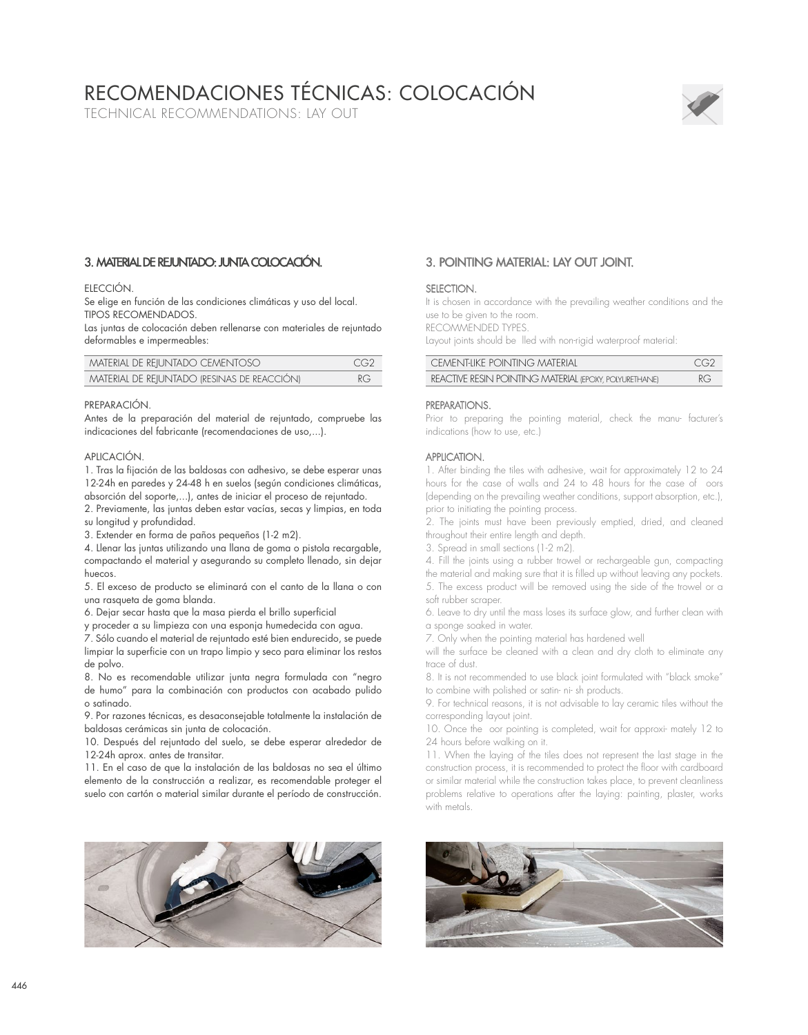# RECOMENDACIONES TÉCNICAS: COLOCACIÓN

TECHNICAL RECOMMENDATIONS: LAY OUT



# 3. MATERIAL DE REJUNTADO: JUNTA COLOCACIÓN.

## **FIFCCIÓN.**

Se elige en función de las condiciones climáticas y uso del local. TIPOS RECOMENDADOS.

Las juntas de colocación deben rellenarse con materiales de rejuntado deformables e impermeables:

| MATERIAL DE REIUNTADO CEMENTOSO             | CG2 |
|---------------------------------------------|-----|
| MATERIAL DE REJUNTADO (RESINAS DE REACCIÓN) | RG  |

#### PREPARACIÓN.

Antes de la preparación del material de rejuntado, compruebe las indicaciones del fabricante (recomendaciones de uso,...).

#### APLICACIÓN.

1. Tras la fijación de las baldosas con adhesivo, se debe esperar unas 12-24h en paredes y 24-48 h en suelos (según condiciones climáticas,

absorción del soporte,...), antes de iniciar el proceso de rejuntado. 2. Previamente, las juntas deben estar vacías, secas y limpias, en toda su longitud y profundidad.

3. Extender en forma de paños pequeños (1-2 m2).

4. Llenar las juntas utilizando una llana de goma o pistola recargable, compactando el material y asegurando su completo llenado, sin dejar huecos.

5. El exceso de producto se eliminará con el canto de la llana o con una rasqueta de goma blanda.

6. Dejar secar hasta que la masa pierda el brillo superficial

y proceder a su limpieza con una esponja humedecida con agua.

7. Sólo cuando el material de rejuntado esté bien endurecido, se puede limpiar la superficie con un trapo limpio y seco para eliminar los restos de polvo.

8. No es recomendable utilizar junta negra formulada con "negro de humo" para la combinación con productos con acabado pulido o satinado.

9. Por razones técnicas, es desaconsejable totalmente la instalación de baldosas cerámicas sin junta de colocación.

10. Después del rejuntado del suelo, se debe esperar alrededor de 12-24h aprox. antes de transitar.

11. En el caso de que la instalación de las baldosas no sea el último elemento de la construcción a realizar, es recomendable proteger el suelo con cartón o material similar durante el período de construcción.



# 3. POINTING MATERIAL: LAY OUT JOINT.

## SELECTION.

It is chosen in accordance with the prevailing weather conditions and the use to be given to the room.

RECOMMENDED TYPES.

Layout joints should be lled with non-rigid waterproof material:

| CEMENTIKE POINTING MATERIAL                            | CG2 |
|--------------------------------------------------------|-----|
| REACTIVE RESIN POINTING MATERIAL (EPOXY, POLYURETHANE) | RG. |

### PREPARATIONS.

Prior to preparing the pointing material, check the manu- facturer's indications (how to use, etc.)

## APPLICATION.

1. After binding the tiles with adhesive, wait for approximately 12 to 24 hours for the case of walls and 24 to 48 hours for the case of oors (depending on the prevailing weather conditions, support absorption, etc.), prior to initiating the pointing process.

2. The joints must have been previously emptied, dried, and cleaned throughout their entire length and depth.

3. Spread in small sections (1-2 m2).

4. Fill the joints using a rubber trowel or rechargeable gun, compacting the material and making sure that it is filled up without leaving any pockets. 5. The excess product will be removed using the side of the trowel or a soft rubber scraper.

6. Leave to dry until the mass loses its surface glow, and further clean with a sponge soaked in water.

7. Only when the pointing material has hardened well

will the surface be cleaned with a clean and dry cloth to eliminate any trace of dust.

8. It is not recommended to use black joint formulated with "black smoke" to combine with polished or satin- ni- sh products.

9. For technical reasons, it is not advisable to lay ceramic tiles without the corresponding layout joint.

10. Once the oor pointing is completed, wait for approxi- mately 12 to 24 hours before walking on it.

11. When the laying of the tiles does not represent the last stage in the construction process, it is recommended to protect the floor with cardboard or similar material while the construction takes place, to prevent cleanliness problems relative to operations after the laying: painting, plaster, works with metals.

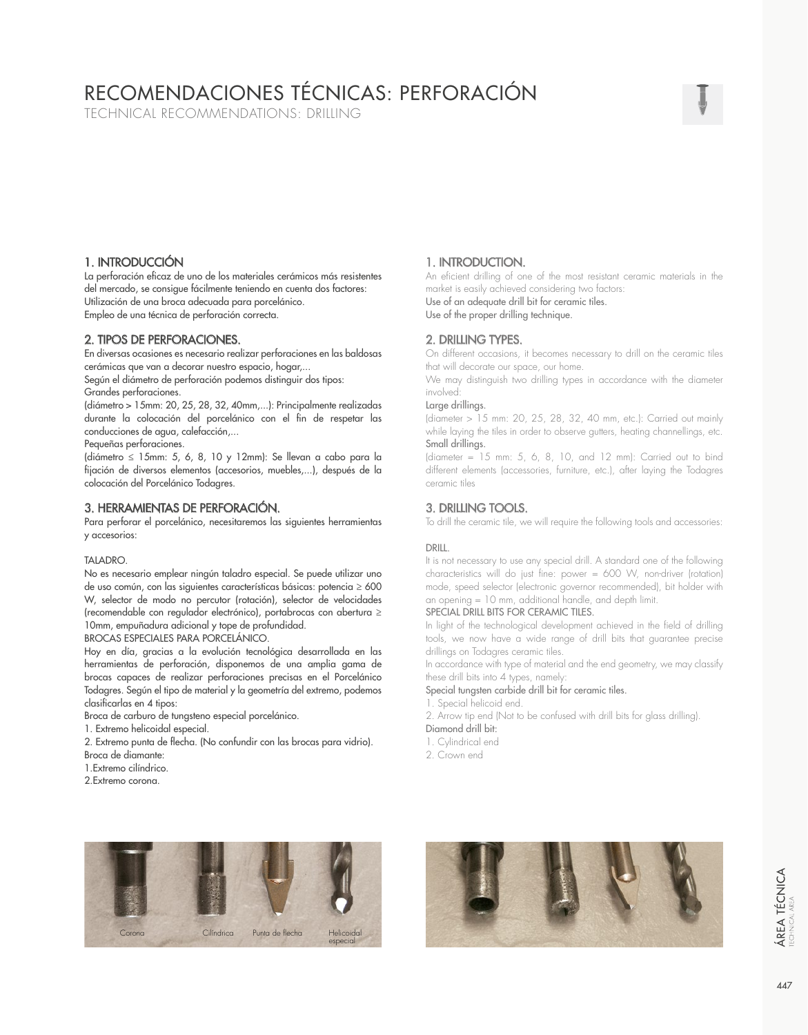# RECOMENDACIONES TÉCNICAS: PERFORACIÓN

TECHNICAL RECOMMENDATIONS: DRILLING

# 1. INTRODUCCIÓN

La perforación eficaz de uno de los materiales cerámicos más resistentes del mercado, se consigue fácilmente teniendo en cuenta dos factores: Utilización de una broca adecuada para porcelánico. Empleo de una técnica de perforación correcta.

## 2. TIPOS DE PERFORACIONES.

En diversas ocasiones es necesario realizar perforaciones en las baldosas cerámicas que van a decorar nuestro espacio, hogar,...

Según el diámetro de perforación podemos distinguir dos tipos: Grandes perforaciones.

(diámetro > 15mm: 20, 25, 28, 32, 40mm,...): Principalmente realizadas durante la colocación del porcelánico con el fin de respetar las conducciones de agua, calefacción,...

Pequeñas perforaciones.

(diámetro ≤ 15mm: 5, 6, 8, 10 y 12mm): Se llevan a cabo para la fijación de diversos elementos (accesorios, muebles,...), después de la colocación del Porcelánico Todagres.

# 3. HERRAMIENTAS DE PERFORACIÓN.

Para perforar el porcelánico, necesitaremos las siguientes herramientas y accesorios:

## TALADRO.

No es necesario emplear ningún taladro especial. Se puede utilizar uno de uso común, con las siguientes características básicas: potencia ≥ 600 W, selector de modo no percutor (rotación), selector de velocidades (recomendable con regulador electrónico), portabrocas con abertura ≥ 10mm, empuñadura adicional y tope de profundidad.

BROCAS ESPECIALES PARA PORCELÁNICO.

Hoy en día, gracias a la evolución tecnológica desarrollada en las herramientas de perforación, disponemos de una amplia gama de brocas capaces de realizar perforaciones precisas en el Porcelánico Todagres. Según el tipo de material y la geometría del extremo, podemos clasificarlas en 4 tipos:

- Broca de carburo de tungsteno especial porcelánico.
- 1. Extremo helicoidal especial.
- 2. Extremo punta de flecha. (No confundir con las brocas para vidrio).
- Broca de diamante:
- 1.Extremo cilíndrico.
- 2.Extremo corona.

# 1. INTRODUCTION.

An eficient drilling of one of the most resistant ceramic materials in the market is easily achieved considering two factors:

Use of an adequate drill bit for ceramic tiles.

Use of the proper drilling technique.

# 2. DRILLING TYPES.

On different occasions, it becomes necessary to drill on the ceramic tiles that will decorate our space, our home.

We may distinguish two drilling types in accordance with the diameter involved:

#### Large drillings.

(diameter > 15 mm: 20, 25, 28, 32, 40 mm, etc.): Carried out mainly while laying the tiles in order to observe gutters, heating channellings, etc. Small drillings.

(diameter = 15 mm: 5, 6, 8, 10, and 12 mm): Carried out to bind different elements (accessories, furniture, etc.), after laying the Todagres ceramic tiles

# 3. DRILLING TOOLS.

To drill the ceramic tile, we will require the following tools and accessories:

## DRILL.

It is not necessary to use any special drill. A standard one of the following characteristics will do just fine: power = 600 W, non-driver (rotation) mode, speed selector (electronic governor recommended), bit holder with an opening = 10 mm, additional handle, and depth limit.

## SPECIAL DRILL BITS FOR CERAMIC TILES.

In light of the technological development achieved in the field of drilling tools, we now have a wide range of drill bits that guarantee precise drillings on Todagres ceramic tiles.

In accordance with type of material and the end geometry, we may classify these drill bits into 4 types, namely:

Special tungsten carbide drill bit for ceramic tiles.

Special helicoid end.

- 2. Arrow tip end (Not to be confused with drill bits for glass drilling).
- Diamond drill bit:
- 1. Cylindrical end
- 2. Crown end



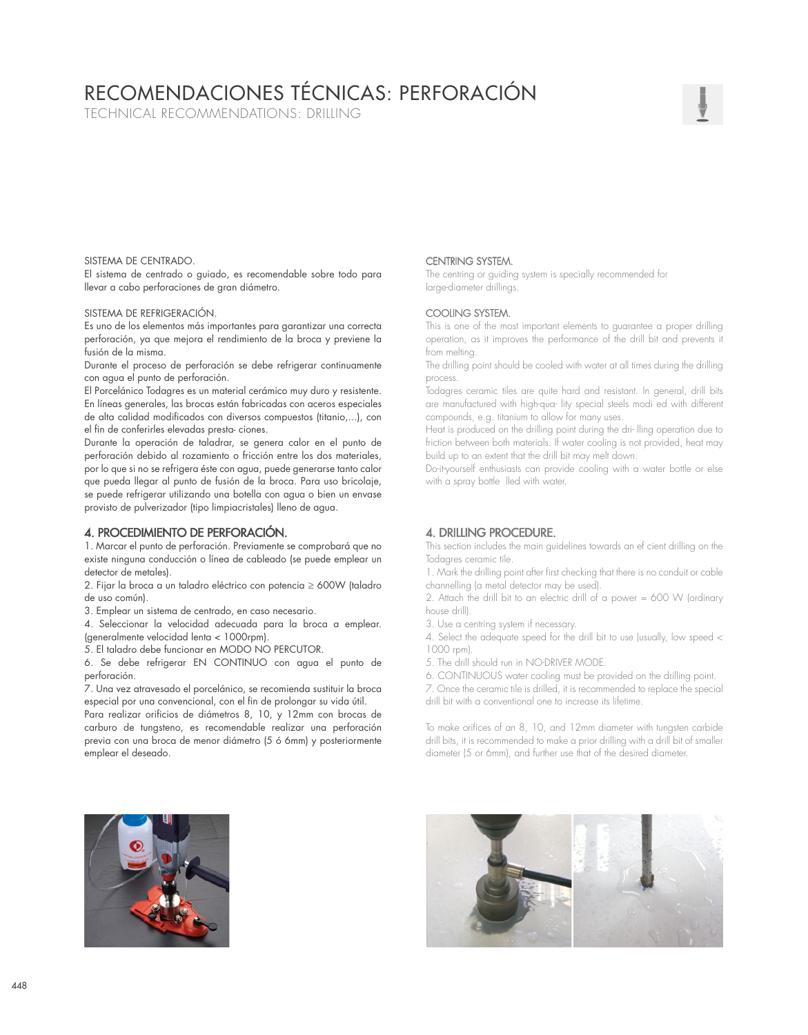# RECOMENDACIONES TÉCNICAS: PERFORACIÓN

TECHNICAL RECOMMENDATIONS: DRILLING

## SISTEMA DE CENTRADO.

El sistema de centrado o guiado, es recomendable sobre todo para llevar a cabo perforaciones de gran diámetro.

#### SISTEMA DE REFRIGERACIÓN.

Es uno de los elementos más importantes para garantizar una correcta perforación, ya que mejora el rendimiento de la broca y previene la fusión de la misma.

Durante el proceso de perforación se debe refrigerar continuamente con agua el punto de perforación.

El Porcelánico Todagres es un material cerámico muy duro y resistente. En líneas generales, las brocas están fabricadas con aceros especiales de alta calidad modificados con diversos compuestos (titanio,...), con el fin de conferirles elevadas presta- ciones.

Durante la operación de taladrar, se genera calor en el punto de perforación debido al rozamiento o fricción entre los dos materiales, por lo que si no se refrigera éste con agua, puede generarse tanto calor que pueda llegar al punto de fusión de la broca. Para uso bricolaje, se puede refrigerar utilizando una botella con agua o bien un envase provisto de pulverizador (tipo limpiacristales) lleno de agua.

## 4. PROCEDIMIENTO DE PERFORACIÓN.

1. Marcar el punto de perforación. Previamente se comprobará que no existe ninguna conducción o línea de cableado (se puede emplear un detector de metales).

2. Fijar la broca a un taladro eléctrico con potencia ≥ 600W (taladro de uso común).

3. Emplear un sistema de centrado, en caso necesario.

4. Seleccionar la velocidad adecuada para la broca a emplear. (generalmente velocidad lenta < 1000rpm).

5. El taladro debe funcionar en MODO NO PERCUTOR.

6. Se debe refrigerar EN CONTINUO con agua el punto de perforación.

7. Una vez atravesado el porcelánico, se recomienda sustituir la broca especial por una convencional, con el fin de prolongar su vida útil.

Para realizar orificios de diámetros 8, 10, y 12mm con brocas de carburo de tungsteno, es recomendable realizar una perforación previa con una broca de menor diámetro (5 ó 6mm) y posteriormente emplear el deseado.

# CENTRING SYSTEM.

The centring or guiding system is specially recommended for large-diameter drillings.

## COOLING SYSTEM.

This is one of the most important elements to guarantee a proper drilling operation, as it improves the performance of the drill bit and prevents it from melting.

The drilling point should be cooled with water at all times during the drilling process.

Todagres ceramic tiles are quite hard and resistant. In general, drill bits are manufactured with high-qua- lity special steels modi ed with different compounds, e.g. titanium to allow for many uses.

Heat is produced on the drilling point during the dri- lling operation due to friction between both materials. If water cooling is not provided, heat may build up to an extent that the drill bit may melt down.

Do-it-yourself enthusiasts can provide cooling with a water bottle or else with a spray bottle lled with water.

## 4. DRILLING PROCEDURE.

This section includes the main guidelines towards an ef cient drilling on the Todagres ceramic tile.

1. Mark the drilling point after first checking that there is no conduit or cable channelling (a metal detector may be used).

2. Attach the drill bit to an electric drill of a power = 600 W (ordinary house drill).

3. Use a centring system if necessary.

4. Select the adequate speed for the drill bit to use (usually, low speed < 1000 rpm).

5. The drill should run in NO-DRIVER MODE.

6. CONTINUOUS water cooling must be provided on the drilling point.

7. Once the ceramic tile is drilled, it is recommended to replace the special drill bit with a conventional one to increase its lifetime.

To make orifices of an 8, 10, and 12mm diameter with tungsten carbide drill bits, it is recommended to make a prior drilling with a drill bit of smaller diameter (5 or 6mm), and further use that of the desired diameter.